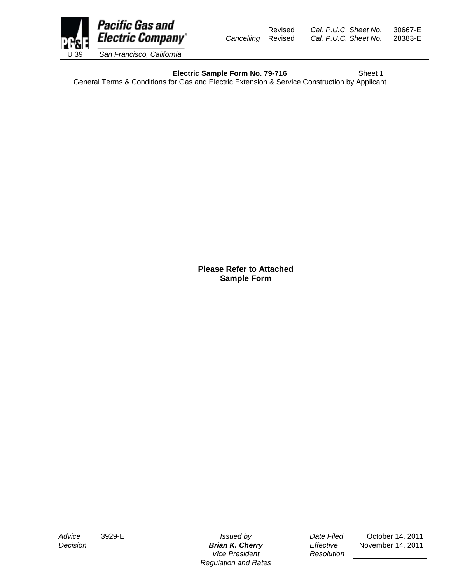

Revised *Cal. P.U.C. Sheet No.* 30667-E

**Electric Sample Form No. 79-716** Sheet 1

General Terms & Conditions for Gas and Electric Extension & Service Construction by Applicant

**Please Refer to Attached Sample Form**

*Vice President Resolution Regulation and Rates*

*Advice* 3929-E *Issued by Date Filed* October 14, 2011 *Decision Brian K. Cherry Effective* November 14, 2011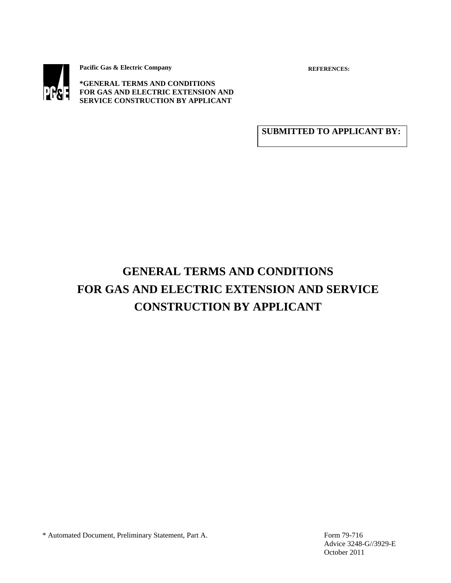

**Pacific Gas & Electric Company**

**REFERENCES:** 

**\*GENERAL TERMS AND CONDITIONS FOR GAS AND ELECTRIC EXTENSION AND SERVICE CONSTRUCTION BY APPLICANT** 

**SUBMITTED TO APPLICANT BY:**

# **GENERAL TERMS AND CONDITIONS FOR GAS AND ELECTRIC EXTENSION AND SERVICE CONSTRUCTION BY APPLICANT**

\* Automated Document, Preliminary Statement, Part A. Form 79-716

 Advice 3248-G//3929-E October 2011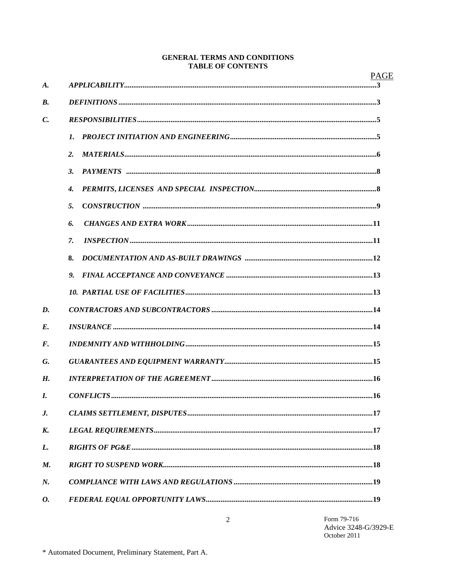## **GENERAL TERMS AND CONDITIONS TABLE OF CONTENTS**

|                    |                    | <b>PAGE</b> |
|--------------------|--------------------|-------------|
| $\boldsymbol{A}$ . |                    |             |
| <b>B.</b>          |                    |             |
| $\mathcal{C}$ .    |                    |             |
|                    | 1.                 |             |
|                    | 2.                 |             |
|                    | $\overline{3}$ .   |             |
|                    | $\boldsymbol{4}$ . |             |
|                    | 5.                 |             |
|                    | 6.                 |             |
|                    | 7.                 |             |
|                    | 8.                 |             |
|                    | $\mathbf{Q}$       |             |
|                    |                    |             |
| D.                 |                    |             |
| $E_{\rm}$          |                    |             |
| F.                 |                    |             |
| G.                 |                    |             |
| H.                 |                    |             |
| I.                 |                    |             |
| J.                 |                    |             |
| K.                 |                    |             |
| L.                 |                    |             |
| M.                 |                    |             |
| N.                 |                    |             |
| 0.                 |                    |             |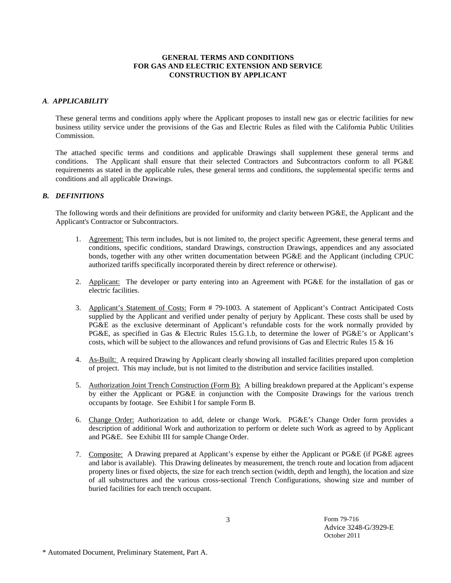#### **GENERAL TERMS AND CONDITIONS FOR GAS AND ELECTRIC EXTENSION AND SERVICE** **CONSTRUCTION BY APPLICANT**

#### *A. APPLICABILITY*

These general terms and conditions apply where the Applicant proposes to install new gas or electric facilities for new business utility service under the provisions of the Gas and Electric Rules as filed with the California Public Utilities Commission.

The attached specific terms and conditions and applicable Drawings shall supplement these general terms and conditions. The Applicant shall ensure that their selected Contractors and Subcontractors conform to all PG&E requirements as stated in the applicable rules, these general terms and conditions, the supplemental specific terms and conditions and all applicable Drawings.

#### *B. DEFINITIONS*

The following words and their definitions are provided for uniformity and clarity between PG&E, the Applicant and the Applicant's Contractor or Subcontractors.

- 1. Agreement: This term includes, but is not limited to, the project specific Agreement, these general terms and conditions, specific conditions, standard Drawings, construction Drawings, appendices and any associated bonds, together with any other written documentation between PG&E and the Applicant (including CPUC authorized tariffs specifically incorporated therein by direct reference or otherwise).
- 2. Applicant: The developer or party entering into an Agreement with PG&E for the installation of gas or electric facilities.
- 3. Applicant's Statement of Costs: Form # 79-1003. A statement of Applicant's Contract Anticipated Costs supplied by the Applicant and verified under penalty of perjury by Applicant. These costs shall be used by PG&E as the exclusive determinant of Applicant's refundable costs for the work normally provided by PG&E, as specified in Gas & Electric Rules 15.G.1.b, to determine the lower of PG&E's or Applicant's costs, which will be subject to the allowances and refund provisions of Gas and Electric Rules 15 & 16
- 4. As-Built: A required Drawing by Applicant clearly showing all installed facilities prepared upon completion of project. This may include, but is not limited to the distribution and service facilities installed.
- 5. Authorization Joint Trench Construction (Form B): A billing breakdown prepared at the Applicant's expense by either the Applicant or PG&E in conjunction with the Composite Drawings for the various trench occupants by footage. See Exhibit I for sample Form B.
- 6. Change Order: Authorization to add, delete or change Work. PG&E's Change Order form provides a description of additional Work and authorization to perform or delete such Work as agreed to by Applicant and PG&E. See Exhibit III for sample Change Order.
- 7. Composite: A Drawing prepared at Applicant's expense by either the Applicant or PG&E (if PG&E agrees and labor is available). This Drawing delineates by measurement, the trench route and location from adjacent property lines or fixed objects, the size for each trench section (width, depth and length), the location and size of all substructures and the various cross-sectional Trench Configurations, showing size and number of buried facilities for each trench occupant.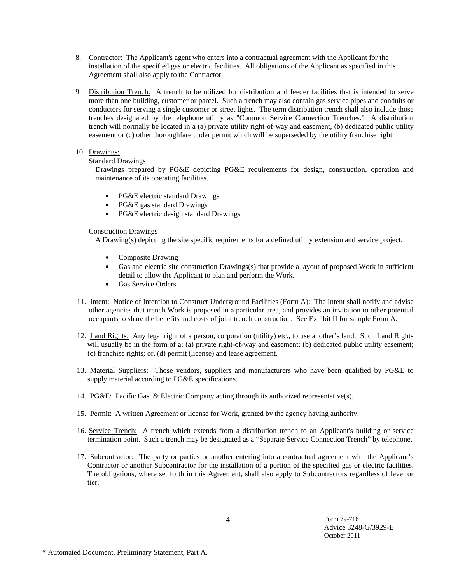- 8. Contractor: The Applicant's agent who enters into a contractual agreement with the Applicant for the installation of the specified gas or electric facilities. All obligations of the Applicant as specified in this Agreement shall also apply to the Contractor.
- 9. Distribution Trench: A trench to be utilized for distribution and feeder facilities that is intended to serve more than one building, customer or parcel. Such a trench may also contain gas service pipes and conduits or conductors for serving a single customer or street lights. The term distribution trench shall also include those trenches designated by the telephone utility as "Common Service Connection Trenches." A distribution trench will normally be located in a (a) private utility right-of-way and easement, (b) dedicated public utility easement or (c) other thoroughfare under permit which will be superseded by the utility franchise right.
- 10. Drawings:

Standard Drawings

Drawings prepared by PG&E depicting PG&E requirements for design, construction, operation and maintenance of its operating facilities.

- PG&E electric standard Drawings
- PG&E gas standard Drawings
- PG&E electric design standard Drawings

Construction Drawings

A Drawing(s) depicting the site specific requirements for a defined utility extension and service project.

- Composite Drawing
- Gas and electric site construction Drawings(s) that provide a layout of proposed Work in sufficient detail to allow the Applicant to plan and perform the Work.
- Gas Service Orders
- 11. Intent: Notice of Intention to Construct Underground Facilities (Form A): The Intent shall notify and advise other agencies that trench Work is proposed in a particular area, and provides an invitation to other potential occupants to share the benefits and costs of joint trench construction. See Exhibit II for sample Form A.
- 12. Land Rights: Any legal right of a person, corporation (utility) etc., to use another's land. Such Land Rights will usually be in the form of a: (a) private right-of-way and easement; (b) dedicated public utility easement; (c) franchise rights; or, (d) permit (license) and lease agreement.
- 13. Material Suppliers: Those vendors, suppliers and manufacturers who have been qualified by PG&E to supply material according to PG&E specifications.
- 14. PG&E: Pacific Gas & Electric Company acting through its authorized representative(s).
- 15. Permit: A written Agreement or license for Work, granted by the agency having authority.
- 16. Service Trench: A trench which extends from a distribution trench to an Applicant's building or service termination point. Such a trench may be designated as a "Separate Service Connection Trench" by telephone.
- 17. Subcontractor: The party or parties or another entering into a contractual agreement with the Applicant's Contractor or another Subcontractor for the installation of a portion of the specified gas or electric facilities. The obligations, where set forth in this Agreement, shall also apply to Subcontractors regardless of level or tier.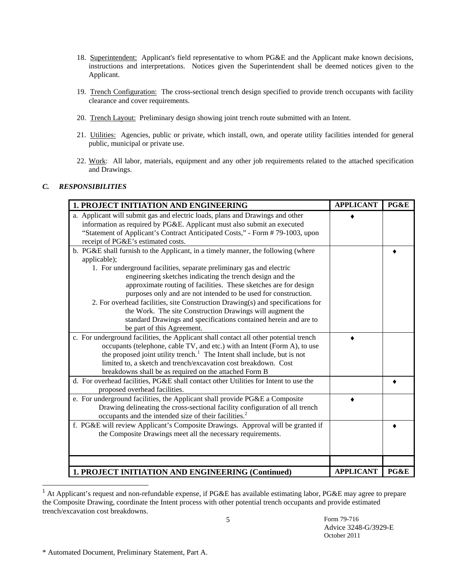- 18. Superintendent: Applicant's field representative to whom PG&E and the Applicant make known decisions, instructions and interpretations. Notices given the Superintendent shall be deemed notices given to the Applicant.
- 19. Trench Configuration: The cross-sectional trench design specified to provide trench occupants with facility clearance and cover requirements.
- 20. Trench Layout: Preliminary design showing joint trench route submitted with an Intent.
- 21. Utilities: Agencies, public or private, which install, own, and operate utility facilities intended for general public, municipal or private use.
- 22. Work: All labor, materials, equipment and any other job requirements related to the attached specification and Drawings.

# *C. RESPONSIBILITIES*

| <b>1. PROJECT INITIATION AND ENGINEERING</b>                                          | <b>APPLICANT</b> | PG&E |
|---------------------------------------------------------------------------------------|------------------|------|
| a. Applicant will submit gas and electric loads, plans and Drawings and other         |                  |      |
| information as required by PG&E. Applicant must also submit an executed               |                  |      |
| "Statement of Applicant's Contract Anticipated Costs," - Form #79-1003, upon          |                  |      |
| receipt of PG&E's estimated costs.                                                    |                  |      |
| b. PG&E shall furnish to the Applicant, in a timely manner, the following (where      |                  |      |
| applicable);                                                                          |                  |      |
| 1. For underground facilities, separate preliminary gas and electric                  |                  |      |
| engineering sketches indicating the trench design and the                             |                  |      |
| approximate routing of facilities. These sketches are for design                      |                  |      |
| purposes only and are not intended to be used for construction.                       |                  |      |
| 2. For overhead facilities, site Construction Drawing(s) and specifications for       |                  |      |
| the Work. The site Construction Drawings will augment the                             |                  |      |
| standard Drawings and specifications contained herein and are to                      |                  |      |
| be part of this Agreement.                                                            |                  |      |
| c. For underground facilities, the Applicant shall contact all other potential trench |                  |      |
| occupants (telephone, cable TV, and etc.) with an Intent (Form A), to use             |                  |      |
| the proposed joint utility trench. <sup>1</sup> The Intent shall include, but is not  |                  |      |
| limited to, a sketch and trench/excavation cost breakdown. Cost                       |                  |      |
| breakdowns shall be as required on the attached Form B                                |                  |      |
| d. For overhead facilities, PG&E shall contact other Utilities for Intent to use the  |                  |      |
| proposed overhead facilities.                                                         |                  |      |
| e. For underground facilities, the Applicant shall provide PG&E a Composite           |                  |      |
| Drawing delineating the cross-sectional facility configuration of all trench          |                  |      |
| occupants and the intended size of their facilities. <sup>2</sup>                     |                  |      |
| f. PG&E will review Applicant's Composite Drawings. Approval will be granted if       |                  |      |
| the Composite Drawings meet all the necessary requirements.                           |                  |      |
|                                                                                       |                  |      |
|                                                                                       |                  |      |
|                                                                                       |                  |      |
| 1. PROJECT INITIATION AND ENGINEERING (Continued)                                     | <b>APPLICANT</b> | PG&E |

5 <sup>1</sup> At Applicant's request and non-refundable expense, if PG&E has available estimating labor, PG&E may agree to prepare the Composite Drawing, coordinate the Intent process with other potential trench occupants and provide estimated trench/excavation cost breakdowns.

Form 79-716 Advice 3248-G/3929-E October 2011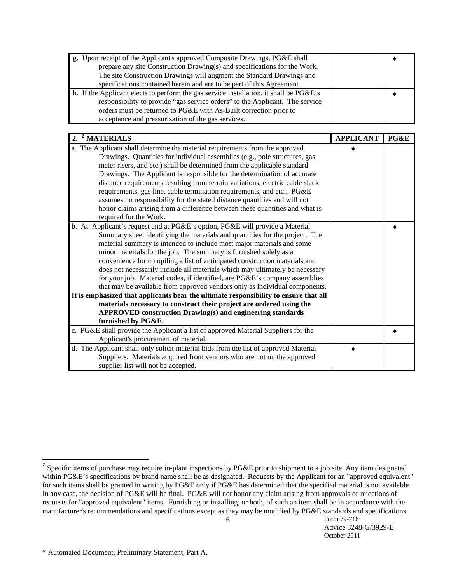| g. Upon receipt of the Applicant's approved Composite Drawings, PG&E shall             |  |
|----------------------------------------------------------------------------------------|--|
| prepare any site Construction Drawing(s) and specifications for the Work.              |  |
| The site Construction Drawings will augment the Standard Drawings and                  |  |
| specifications contained herein and are to be part of this Agreement.                  |  |
| h. If the Applicant elects to perform the gas service installation, it shall be PG&E's |  |
| responsibility to provide "gas service orders" to the Applicant. The service           |  |
| orders must be returned to PG&E with As-Built correction prior to                      |  |
| acceptance and pressurization of the gas services.                                     |  |

| <sup>2</sup> MATERIALS<br>2.                                                         | <b>APPLICANT</b> | PG&E |
|--------------------------------------------------------------------------------------|------------------|------|
| a. The Applicant shall determine the material requirements from the approved         |                  |      |
| Drawings. Quantities for individual assemblies (e.g., pole structures, gas           |                  |      |
| meter risers, and etc.) shall be determined from the applicable standard             |                  |      |
| Drawings. The Applicant is responsible for the determination of accurate             |                  |      |
| distance requirements resulting from terrain variations, electric cable slack        |                  |      |
| requirements, gas line, cable termination requirements, and etc PG&E                 |                  |      |
| assumes no responsibility for the stated distance quantities and will not            |                  |      |
| honor claims arising from a difference between these quantities and what is          |                  |      |
| required for the Work.                                                               |                  |      |
| b. At Applicant's request and at PG&E's option, PG&E will provide a Material         |                  |      |
| Summary sheet identifying the materials and quantities for the project. The          |                  |      |
| material summary is intended to include most major materials and some                |                  |      |
| minor materials for the job. The summary is furnished solely as a                    |                  |      |
| convenience for compiling a list of anticipated construction materials and           |                  |      |
| does not necessarily include all materials which may ultimately be necessary         |                  |      |
| for your job. Material codes, if identified, are PG&E's company assemblies           |                  |      |
| that may be available from approved vendors only as individual components.           |                  |      |
| It is emphasized that applicants bear the ultimate responsibility to ensure that all |                  |      |
| materials necessary to construct their project are ordered using the                 |                  |      |
| <b>APPROVED construction Drawing(s) and engineering standards</b>                    |                  |      |
| furnished by PG&E.                                                                   |                  |      |
| c. PG&E shall provide the Applicant a list of approved Material Suppliers for the    |                  |      |
| Applicant's procurement of material.                                                 |                  |      |
| d. The Applicant shall only solicit material bids from the list of approved Material |                  |      |
| Suppliers. Materials acquired from vendors who are not on the approved               |                  |      |
| supplier list will not be accepted.                                                  |                  |      |

<sup>&</sup>lt;sup>2</sup> Specific items of purchase may require in-plant inspections by PG&E prior to shipment to a job site. Any item designated within PG&E's specifications by brand name shall be as designated. Requests by the Applicant for an "approved equivalent" for such items shall be granted in writing by PG&E only if PG&E has determined that the specified material is not available. In any case, the decision of PG&E will be final. PG&E will not honor any claim arising from approvals or rejections of requests for "approved equivalent" items. Furnishing or installing, or both, of such an item shall be in accordance with the manufacturer's recommendations and specifications except as they may be modified by PG&E standards and specifications.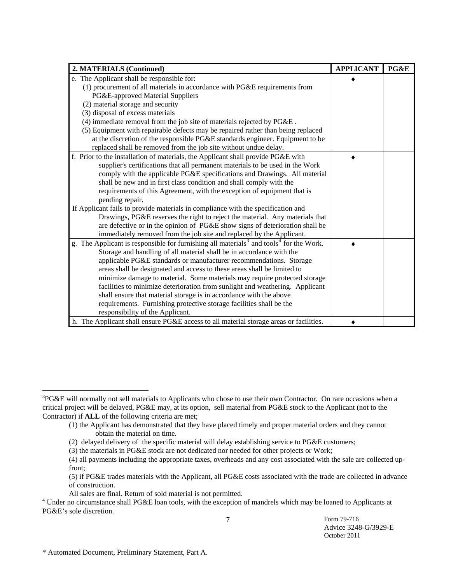| 2. MATERIALS (Continued)                                                                                       | <b>APPLICANT</b> | PG&E |
|----------------------------------------------------------------------------------------------------------------|------------------|------|
| e. The Applicant shall be responsible for:                                                                     |                  |      |
| (1) procurement of all materials in accordance with PG&E requirements from                                     |                  |      |
| PG&E-approved Material Suppliers                                                                               |                  |      |
| (2) material storage and security                                                                              |                  |      |
| (3) disposal of excess materials                                                                               |                  |      |
| (4) immediate removal from the job site of materials rejected by PG&E.                                         |                  |      |
| (5) Equipment with repairable defects may be repaired rather than being replaced                               |                  |      |
| at the discretion of the responsible PG&E standards engineer. Equipment to be                                  |                  |      |
| replaced shall be removed from the job site without undue delay.                                               |                  |      |
| f. Prior to the installation of materials, the Applicant shall provide PG&E with                               |                  |      |
| supplier's certifications that all permanent materials to be used in the Work                                  |                  |      |
| comply with the applicable PG&E specifications and Drawings. All material                                      |                  |      |
| shall be new and in first class condition and shall comply with the                                            |                  |      |
| requirements of this Agreement, with the exception of equipment that is                                        |                  |      |
| pending repair.                                                                                                |                  |      |
| If Applicant fails to provide materials in compliance with the specification and                               |                  |      |
| Drawings, PG&E reserves the right to reject the material. Any materials that                                   |                  |      |
| are defective or in the opinion of PG&E show signs of deterioration shall be                                   |                  |      |
| immediately removed from the job site and replaced by the Applicant.                                           |                  |      |
| g. The Applicant is responsible for furnishing all materials <sup>3</sup> and tools <sup>4</sup> for the Work. |                  |      |
| Storage and handling of all material shall be in accordance with the                                           |                  |      |
| applicable PG&E standards or manufacturer recommendations. Storage                                             |                  |      |
| areas shall be designated and access to these areas shall be limited to                                        |                  |      |
| minimize damage to material. Some materials may require protected storage                                      |                  |      |
| facilities to minimize deterioration from sunlight and weathering. Applicant                                   |                  |      |
| shall ensure that material storage is in accordance with the above                                             |                  |      |
| requirements. Furnishing protective storage facilities shall be the                                            |                  |      |
| responsibility of the Applicant.                                                                               |                  |      |
| h. The Applicant shall ensure PG&E access to all material storage areas or facilities.                         |                  |      |

 $3PG\&E$  will normally not sell materials to Applicants who chose to use their own Contractor. On rare occasions when a critical project will be delayed, PG&E may, at its option, sell material from PG&E stock to the Applicant (not to the Contractor) if **ALL** of the following criteria are met;

 <sup>(1)</sup> the Applicant has demonstrated that they have placed timely and proper material orders and they cannot obtain the material on time.

 <sup>(2)</sup> delayed delivery of the specific material will delay establishing service to PG&E customers;

 <sup>(3)</sup> the materials in PG&E stock are not dedicated nor needed for other projects or Work;

 <sup>(4)</sup> all payments including the appropriate taxes, overheads and any cost associated with the sale are collected up front;

 <sup>(5)</sup> if PG&E trades materials with the Applicant, all PG&E costs associated with the trade are collected in advance of construction.

All sales are final. Return of sold material is not permitted.<br><sup>4</sup> Under no circumstance shall PG&E loan tools, with the exception of mandrels which may be loaned to Applicants at PG&E's sole discretion.

Form 79-716 Advice 3248-G/3929-E October 2011

<sup>\*</sup> Automated Document, Preliminary Statement, Part A.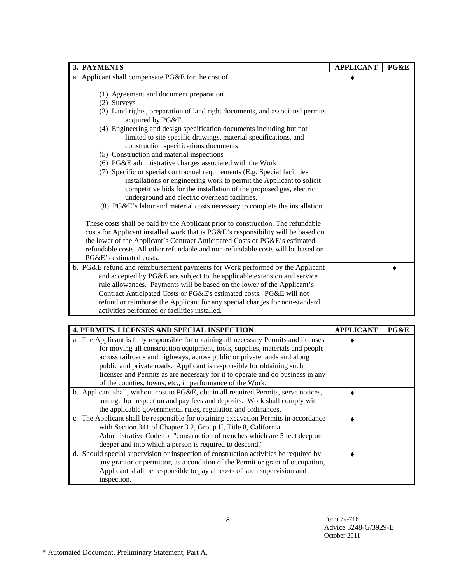| 3. PAYMENTS                                                                                                                                                                                                                                                                                                                                                                                                                                                                                                                                                                                                                                                                                                                                                                                                         | <b>APPLICANT</b> | PG&E |
|---------------------------------------------------------------------------------------------------------------------------------------------------------------------------------------------------------------------------------------------------------------------------------------------------------------------------------------------------------------------------------------------------------------------------------------------------------------------------------------------------------------------------------------------------------------------------------------------------------------------------------------------------------------------------------------------------------------------------------------------------------------------------------------------------------------------|------------------|------|
| a. Applicant shall compensate PG&E for the cost of                                                                                                                                                                                                                                                                                                                                                                                                                                                                                                                                                                                                                                                                                                                                                                  |                  |      |
| (1) Agreement and document preparation<br>(2) Surveys<br>(3) Land rights, preparation of land right documents, and associated permits<br>acquired by PG&E.<br>(4) Engineering and design specification documents including but not<br>limited to site specific drawings, material specifications, and<br>construction specifications documents<br>(5) Construction and material inspections<br>(6) PG&E administrative charges associated with the Work<br>(7) Specific or special contractual requirements (E.g. Special facilities<br>installations or engineering work to permit the Applicant to solicit<br>competitive bids for the installation of the proposed gas, electric<br>underground and electric overhead facilities.<br>(8) PG&E's labor and material costs necessary to complete the installation. |                  |      |
| These costs shall be paid by the Applicant prior to construction. The refundable<br>costs for Applicant installed work that is PG&E's responsibility will be based on<br>the lower of the Applicant's Contract Anticipated Costs or PG&E's estimated<br>refundable costs. All other refundable and non-refundable costs will be based on<br>PG&E's estimated costs.                                                                                                                                                                                                                                                                                                                                                                                                                                                 |                  |      |
| b. PG&E refund and reimbursement payments for Work performed by the Applicant<br>and accepted by PG&E are subject to the applicable extension and service<br>rule allowances. Payments will be based on the lower of the Applicant's<br>Contract Anticipated Costs or PG&E's estimated costs. PG&E will not<br>refund or reimburse the Applicant for any special charges for non-standard<br>activities performed or facilities installed.                                                                                                                                                                                                                                                                                                                                                                          |                  |      |

| <b>4. PERMITS, LICENSES AND SPECIAL INSPECTION</b>                                     | <b>APPLICANT</b> | PG&E |
|----------------------------------------------------------------------------------------|------------------|------|
| a. The Applicant is fully responsible for obtaining all necessary Permits and licenses |                  |      |
| for moving all construction equipment, tools, supplies, materials and people           |                  |      |
| across railroads and highways, across public or private lands and along                |                  |      |
| public and private roads. Applicant is responsible for obtaining such                  |                  |      |
| licenses and Permits as are necessary for it to operate and do business in any         |                  |      |
| of the counties, towns, etc., in performance of the Work.                              |                  |      |
| b. Applicant shall, without cost to PG&E, obtain all required Permits, serve notices,  |                  |      |
| arrange for inspection and pay fees and deposits. Work shall comply with               |                  |      |
| the applicable governmental rules, regulation and ordinances.                          |                  |      |
| c. The Applicant shall be responsible for obtaining excavation Permits in accordance   |                  |      |
| with Section 341 of Chapter 3.2, Group II, Title 8, California                         |                  |      |
| Administrative Code for "construction of trenches which are 5 feet deep or             |                  |      |
| deeper and into which a person is required to descend."                                |                  |      |
| d. Should special supervision or inspection of construction activities be required by  |                  |      |
| any grantor or permittor, as a condition of the Permit or grant of occupation,         |                  |      |
| Applicant shall be responsible to pay all costs of such supervision and                |                  |      |
| inspection.                                                                            |                  |      |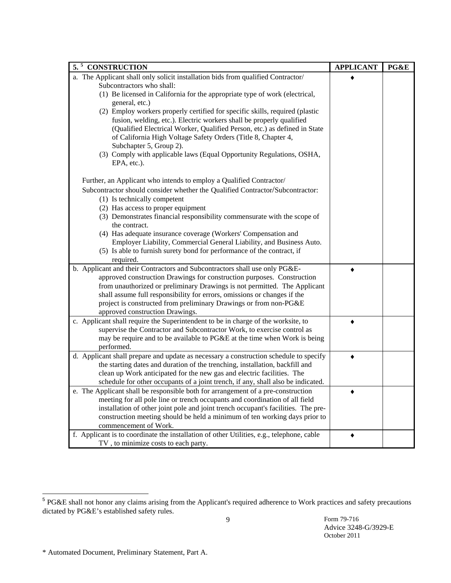| 5.5<br><b>CONSTRUCTION</b>                                                                | <b>APPLICANT</b> | PG&E |
|-------------------------------------------------------------------------------------------|------------------|------|
| a. The Applicant shall only solicit installation bids from qualified Contractor/          |                  |      |
| Subcontractors who shall:                                                                 |                  |      |
| (1) Be licensed in California for the appropriate type of work (electrical,               |                  |      |
| general, etc.)                                                                            |                  |      |
| (2) Employ workers properly certified for specific skills, required (plastic              |                  |      |
| fusion, welding, etc.). Electric workers shall be properly qualified                      |                  |      |
| (Qualified Electrical Worker, Qualified Person, etc.) as defined in State                 |                  |      |
| of California High Voltage Safety Orders (Title 8, Chapter 4,                             |                  |      |
| Subchapter 5, Group 2).                                                                   |                  |      |
| (3) Comply with applicable laws (Equal Opportunity Regulations, OSHA,                     |                  |      |
| EPA, etc.).                                                                               |                  |      |
| Further, an Applicant who intends to employ a Qualified Contractor/                       |                  |      |
| Subcontractor should consider whether the Qualified Contractor/Subcontractor:             |                  |      |
| (1) Is technically competent                                                              |                  |      |
| (2) Has access to proper equipment                                                        |                  |      |
| (3) Demonstrates financial responsibility commensurate with the scope of                  |                  |      |
| the contract.                                                                             |                  |      |
| (4) Has adequate insurance coverage (Workers' Compensation and                            |                  |      |
| Employer Liability, Commercial General Liability, and Business Auto.                      |                  |      |
| (5) Is able to furnish surety bond for performance of the contract, if                    |                  |      |
| required.                                                                                 |                  |      |
| b. Applicant and their Contractors and Subcontractors shall use only PG&E-                |                  |      |
| approved construction Drawings for construction purposes. Construction                    |                  |      |
| from unauthorized or preliminary Drawings is not permitted. The Applicant                 |                  |      |
| shall assume full responsibility for errors, omissions or changes if the                  |                  |      |
| project is constructed from preliminary Drawings or from non-PG&E                         |                  |      |
| approved construction Drawings.                                                           |                  |      |
| c. Applicant shall require the Superintendent to be in charge of the worksite, to         |                  |      |
| supervise the Contractor and Subcontractor Work, to exercise control as                   |                  |      |
| may be require and to be available to PG&E at the time when Work is being                 |                  |      |
| performed.                                                                                |                  |      |
| d. Applicant shall prepare and update as necessary a construction schedule to specify     |                  |      |
| the starting dates and duration of the trenching, installation, backfill and              |                  |      |
| clean up Work anticipated for the new gas and electric facilities. The                    |                  |      |
| schedule for other occupants of a joint trench, if any, shall also be indicated.          |                  |      |
| e. The Applicant shall be responsible both for arrangement of a pre-construction          |                  |      |
| meeting for all pole line or trench occupants and coordination of all field               |                  |      |
| installation of other joint pole and joint trench occupant's facilities. The pre-         |                  |      |
| construction meeting should be held a minimum of ten working days prior to                |                  |      |
| commencement of Work.                                                                     |                  |      |
| f. Applicant is to coordinate the installation of other Utilities, e.g., telephone, cable |                  |      |
| TV, to minimize costs to each party.                                                      |                  |      |

<sup>&</sup>lt;sup>5</sup> PG&E shall not honor any claims arising from the Applicant's required adherence to Work practices and safety precautions dictated by PG&E's established safety rules.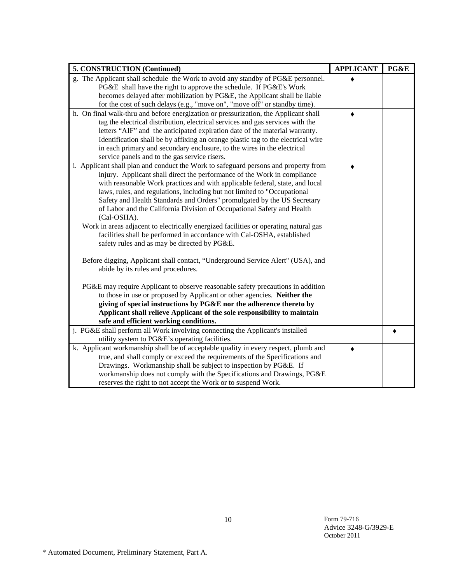| 5. CONSTRUCTION (Continued)                                                           | <b>APPLICANT</b> | PG&E |
|---------------------------------------------------------------------------------------|------------------|------|
| g. The Applicant shall schedule the Work to avoid any standby of PG&E personnel.      |                  |      |
| PG&E shall have the right to approve the schedule. If PG&E's Work                     |                  |      |
| becomes delayed after mobilization by PG&E, the Applicant shall be liable             |                  |      |
| for the cost of such delays (e.g., "move on", "move off" or standby time).            |                  |      |
| h. On final walk-thru and before energization or pressurization, the Applicant shall  |                  |      |
| tag the electrical distribution, electrical services and gas services with the        |                  |      |
| letters "AIF" and the anticipated expiration date of the material warranty.           |                  |      |
| Identification shall be by affixing an orange plastic tag to the electrical wire      |                  |      |
| in each primary and secondary enclosure, to the wires in the electrical               |                  |      |
| service panels and to the gas service risers.                                         |                  |      |
| i. Applicant shall plan and conduct the Work to safeguard persons and property from   |                  |      |
| injury. Applicant shall direct the performance of the Work in compliance              |                  |      |
| with reasonable Work practices and with applicable federal, state, and local          |                  |      |
| laws, rules, and regulations, including but not limited to "Occupational              |                  |      |
| Safety and Health Standards and Orders" promulgated by the US Secretary               |                  |      |
| of Labor and the California Division of Occupational Safety and Health<br>(Cal-OSHA). |                  |      |
| Work in areas adjacent to electrically energized facilities or operating natural gas  |                  |      |
| facilities shall be performed in accordance with Cal-OSHA, established                |                  |      |
| safety rules and as may be directed by PG&E.                                          |                  |      |
|                                                                                       |                  |      |
| Before digging, Applicant shall contact, "Underground Service Alert" (USA), and       |                  |      |
| abide by its rules and procedures.                                                    |                  |      |
|                                                                                       |                  |      |
| PG&E may require Applicant to observe reasonable safety precautions in addition       |                  |      |
| to those in use or proposed by Applicant or other agencies. Neither the               |                  |      |
| giving of special instructions by PG&E nor the adherence thereto by                   |                  |      |
| Applicant shall relieve Applicant of the sole responsibility to maintain              |                  |      |
| safe and efficient working conditions.                                                |                  |      |
| j. PG&E shall perform all Work involving connecting the Applicant's installed         |                  |      |
| utility system to PG&E's operating facilities.                                        |                  |      |
| k. Applicant workmanship shall be of acceptable quality in every respect, plumb and   |                  |      |
| true, and shall comply or exceed the requirements of the Specifications and           |                  |      |
| Drawings. Workmanship shall be subject to inspection by PG&E. If                      |                  |      |
| workmanship does not comply with the Specifications and Drawings, PG&E                |                  |      |
| reserves the right to not accept the Work or to suspend Work.                         |                  |      |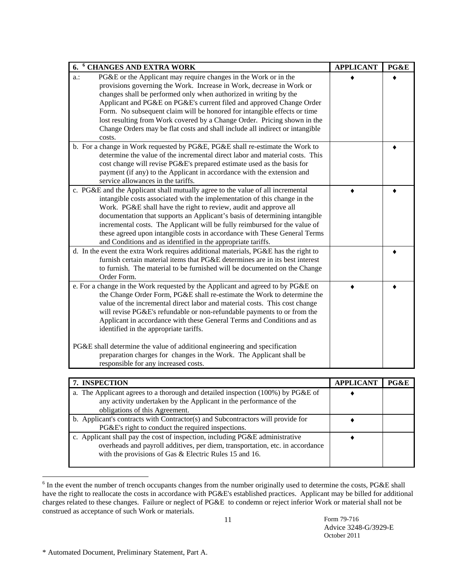| <sup>6</sup> CHANGES AND EXTRA WORK<br>6.                                                        | <b>APPLICANT</b> | PG&E |
|--------------------------------------------------------------------------------------------------|------------------|------|
| PG&E or the Applicant may require changes in the Work or in the<br>$a$ .:                        |                  |      |
| provisions governing the Work. Increase in Work, decrease in Work or                             |                  |      |
| changes shall be performed only when authorized in writing by the                                |                  |      |
| Applicant and PG&E on PG&E's current filed and approved Change Order                             |                  |      |
| Form. No subsequent claim will be honored for intangible effects or time                         |                  |      |
| lost resulting from Work covered by a Change Order. Pricing shown in the                         |                  |      |
| Change Orders may be flat costs and shall include all indirect or intangible                     |                  |      |
| costs.                                                                                           |                  |      |
| b. For a change in Work requested by PG&E, PG&E shall re-estimate the Work to                    |                  |      |
| determine the value of the incremental direct labor and material costs. This                     |                  |      |
| cost change will revise PG&E's prepared estimate used as the basis for                           |                  |      |
| payment (if any) to the Applicant in accordance with the extension and                           |                  |      |
| service allowances in the tariffs.                                                               |                  |      |
| c. PG&E and the Applicant shall mutually agree to the value of all incremental                   |                  |      |
| intangible costs associated with the implementation of this change in the                        |                  |      |
| Work. PG&E shall have the right to review, audit and approve all                                 |                  |      |
| documentation that supports an Applicant's basis of determining intangible                       |                  |      |
| incremental costs. The Applicant will be fully reimbursed for the value of                       |                  |      |
| these agreed upon intangible costs in accordance with These General Terms                        |                  |      |
| and Conditions and as identified in the appropriate tariffs.                                     |                  |      |
| d. In the event the extra Work requires additional materials, PG&E has the right to              |                  |      |
| furnish certain material items that PG&E determines are in its best interest                     |                  |      |
| to furnish. The material to be furnished will be documented on the Change                        |                  |      |
| Order Form.                                                                                      |                  |      |
| e. For a change in the Work requested by the Applicant and agreed to by PG&E on                  |                  |      |
| the Change Order Form, PG&E shall re-estimate the Work to determine the                          |                  |      |
| value of the incremental direct labor and material costs. This cost change                       |                  |      |
| will revise PG&E's refundable or non-refundable payments to or from the                          |                  |      |
| Applicant in accordance with these General Terms and Conditions and as                           |                  |      |
| identified in the appropriate tariffs.                                                           |                  |      |
|                                                                                                  |                  |      |
| PG&E shall determine the value of additional engineering and specification                       |                  |      |
| preparation charges for changes in the Work. The Applicant shall be                              |                  |      |
| responsible for any increased costs.                                                             |                  |      |
|                                                                                                  |                  |      |
| 7. INSPECTION<br>The Applicant agrees to a thorough and detailed inspection $(100\%)$ by PG&E of | <b>APPLICANT</b> | PG&E |

| 7. INSPECTION                                                                      | <b>APPLICANT</b> | PG&E |
|------------------------------------------------------------------------------------|------------------|------|
| a. The Applicant agrees to a thorough and detailed inspection $(100\%)$ by PG&E of |                  |      |
| any activity undertaken by the Applicant in the performance of the                 |                  |      |
| obligations of this Agreement.                                                     |                  |      |
| b. Applicant's contracts with Contractor(s) and Subcontractors will provide for    |                  |      |
| PG&E's right to conduct the required inspections.                                  |                  |      |
| c. Applicant shall pay the cost of inspection, including PG&E administrative       |                  |      |
| overheads and payroll additives, per diem, transportation, etc. in accordance      |                  |      |
| with the provisions of Gas & Electric Rules 15 and 16.                             |                  |      |
|                                                                                    |                  |      |

<sup>&</sup>lt;sup>6</sup> In the event the number of trench occupants changes from the number originally used to determine the costs, PG&E shall have the right to reallocate the costs in accordance with PG&E's established practices. Applicant may be billed for additional charges related to these changes. Failure or neglect of PG&E to condemn or reject inferior Work or material shall not be construed as acceptance of such Work or materials.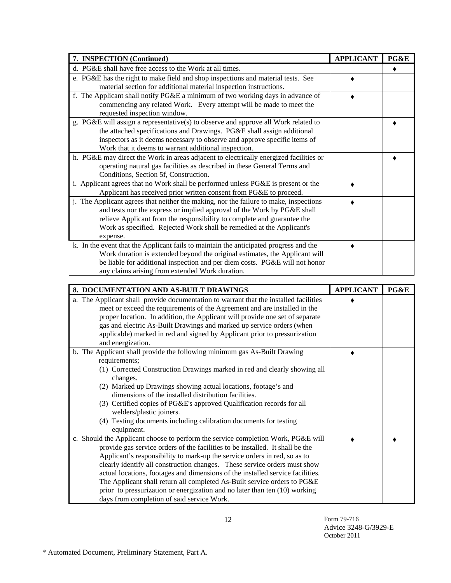| 7. INSPECTION (Continued)                                                             | <b>APPLICANT</b> | PG&E |
|---------------------------------------------------------------------------------------|------------------|------|
| d. PG&E shall have free access to the Work at all times.                              |                  |      |
| e. PG&E has the right to make field and shop inspections and material tests. See      |                  |      |
| material section for additional material inspection instructions.                     |                  |      |
| f. The Applicant shall notify PG&E a minimum of two working days in advance of        |                  |      |
| commencing any related Work. Every attempt will be made to meet the                   |                  |      |
| requested inspection window.                                                          |                  |      |
| g. PG&E will assign a representative(s) to observe and approve all Work related to    |                  |      |
| the attached specifications and Drawings. PG&E shall assign additional                |                  |      |
| inspectors as it deems necessary to observe and approve specific items of             |                  |      |
| Work that it deems to warrant additional inspection.                                  |                  |      |
| h. PG&E may direct the Work in areas adjacent to electrically energized facilities or |                  |      |
| operating natural gas facilities as described in these General Terms and              |                  |      |
| Conditions, Section 5f, Construction.                                                 |                  |      |
| i. Applicant agrees that no Work shall be performed unless PG&E is present or the     |                  |      |
| Applicant has received prior written consent from PG&E to proceed.                    |                  |      |
| j. The Applicant agrees that neither the making, nor the failure to make, inspections |                  |      |
| and tests nor the express or implied approval of the Work by PG&E shall               |                  |      |
| relieve Applicant from the responsibility to complete and guarantee the               |                  |      |
| Work as specified. Rejected Work shall be remedied at the Applicant's                 |                  |      |
| expense.                                                                              |                  |      |
| k. In the event that the Applicant fails to maintain the anticipated progress and the |                  |      |
| Work duration is extended beyond the original estimates, the Applicant will           |                  |      |
| be liable for additional inspection and per diem costs. PG&E will not honor           |                  |      |
| any claims arising from extended Work duration.                                       |                  |      |

| 8. DOCUMENTATION AND AS-BUILT DRAWINGS                                                                                                                                                                                                                                                                                                                                                                                                                                                                                                                                                                                | <b>APPLICANT</b> | PG&E |
|-----------------------------------------------------------------------------------------------------------------------------------------------------------------------------------------------------------------------------------------------------------------------------------------------------------------------------------------------------------------------------------------------------------------------------------------------------------------------------------------------------------------------------------------------------------------------------------------------------------------------|------------------|------|
| a. The Applicant shall provide documentation to warrant that the installed facilities<br>meet or exceed the requirements of the Agreement and are installed in the<br>proper location. In addition, the Applicant will provide one set of separate                                                                                                                                                                                                                                                                                                                                                                    |                  |      |
| gas and electric As-Built Drawings and marked up service orders (when<br>applicable) marked in red and signed by Applicant prior to pressurization<br>and energization.                                                                                                                                                                                                                                                                                                                                                                                                                                               |                  |      |
| b. The Applicant shall provide the following minimum gas As-Built Drawing<br>requirements;<br>(1) Corrected Construction Drawings marked in red and clearly showing all<br>changes.<br>(2) Marked up Drawings showing actual locations, footage's and<br>dimensions of the installed distribution facilities.<br>(3) Certified copies of PG&E's approved Qualification records for all<br>welders/plastic joiners.<br>(4) Testing documents including calibration documents for testing<br>equipment.                                                                                                                 |                  |      |
| c. Should the Applicant choose to perform the service completion Work, PG&E will<br>provide gas service orders of the facilities to be installed. It shall be the<br>Applicant's responsibility to mark-up the service orders in red, so as to<br>clearly identify all construction changes. These service orders must show<br>actual locations, footages and dimensions of the installed service facilities.<br>The Applicant shall return all completed As-Built service orders to PG&E<br>prior to pressurization or energization and no later than ten (10) working<br>days from completion of said service Work. |                  |      |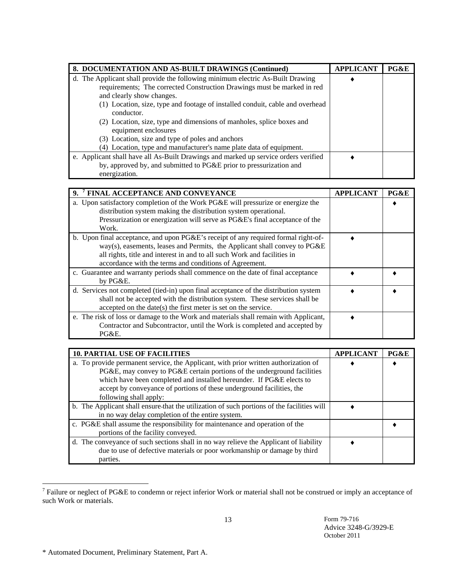| 8. DOCUMENTATION AND AS-BUILT DRAWINGS (Continued)                                  | <b>APPLICANT</b> | PG&E |
|-------------------------------------------------------------------------------------|------------------|------|
| d. The Applicant shall provide the following minimum electric As-Built Drawing      |                  |      |
| requirements; The corrected Construction Drawings must be marked in red             |                  |      |
| and clearly show changes.                                                           |                  |      |
| (1) Location, size, type and footage of installed conduit, cable and overhead       |                  |      |
| conductor.                                                                          |                  |      |
| (2) Location, size, type and dimensions of manholes, splice boxes and               |                  |      |
| equipment enclosures                                                                |                  |      |
| (3) Location, size and type of poles and anchors                                    |                  |      |
| (4) Location, type and manufacturer's name plate data of equipment.                 |                  |      |
| e. Applicant shall have all As-Built Drawings and marked up service orders verified |                  |      |
| by, approved by, and submitted to PG&E prior to pressurization and                  |                  |      |
| energization.                                                                       |                  |      |

| 9. <sup>7</sup> FINAL ACCEPTANCE AND CONVEYANCE                                      | <b>APPLICANT</b> | PG&E |
|--------------------------------------------------------------------------------------|------------------|------|
| a. Upon satisfactory completion of the Work PG&E will pressurize or energize the     |                  |      |
| distribution system making the distribution system operational.                      |                  |      |
| Pressurization or energization will serve as PG&E's final acceptance of the          |                  |      |
| Work.                                                                                |                  |      |
| b. Upon final acceptance, and upon PG&E's receipt of any required formal right-of-   |                  |      |
| way(s), easements, leases and Permits, the Applicant shall convey to PG&E            |                  |      |
| all rights, title and interest in and to all such Work and facilities in             |                  |      |
| accordance with the terms and conditions of Agreement.                               |                  |      |
| c. Guarantee and warranty periods shall commence on the date of final acceptance     |                  |      |
| by PG&E.                                                                             |                  |      |
| d. Services not completed (tied-in) upon final acceptance of the distribution system |                  |      |
| shall not be accepted with the distribution system. These services shall be          |                  |      |
| accepted on the date(s) the first meter is set on the service.                       |                  |      |
| e. The risk of loss or damage to the Work and materials shall remain with Applicant, |                  |      |
| Contractor and Subcontractor, until the Work is completed and accepted by            |                  |      |
| PG&E.                                                                                |                  |      |

| <b>10. PARTIAL USE OF FACILITIES</b>                                                                                                                                                                                                                                                                                                      | <b>APPLICANT</b> | PG&E |
|-------------------------------------------------------------------------------------------------------------------------------------------------------------------------------------------------------------------------------------------------------------------------------------------------------------------------------------------|------------------|------|
| a. To provide permanent service, the Applicant, with prior written authorization of<br>PG&E, may convey to PG&E certain portions of the underground facilities<br>which have been completed and installed hereunder. If PG&E elects to<br>accept by conveyance of portions of these underground facilities, the<br>following shall apply: |                  |      |
| b. The Applicant shall ensure-that the utilization of such portions of the facilities will<br>in no way delay completion of the entire system.                                                                                                                                                                                            |                  |      |
| c. PG&E shall assume the responsibility for maintenance and operation of the<br>portions of the facility conveyed.                                                                                                                                                                                                                        |                  |      |
| d. The conveyance of such sections shall in no way relieve the Applicant of liability<br>due to use of defective materials or poor workmanship or damage by third<br>parties.                                                                                                                                                             |                  |      |

<sup>&</sup>lt;sup>7</sup> Failure or neglect of PG&E to condemn or reject inferior Work or material shall not be construed or imply an acceptance of such Work or materials.

<sup>\*</sup> Automated Document, Preliminary Statement, Part A.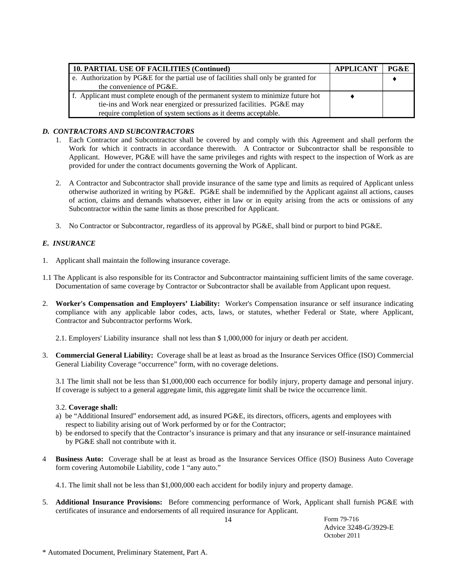| 10. PARTIAL USE OF FACILITIES (Continued)                                            | APPLICANT | PG&E |
|--------------------------------------------------------------------------------------|-----------|------|
| e. Authorization by PG&E for the partial use of facilities shall only be granted for |           |      |
| the convenience of PG&E.                                                             |           |      |
| f. Applicant must complete enough of the permanent system to minimize future hot     |           |      |
| tie-ins and Work near energized or pressurized facilities. PG&E may                  |           |      |
| require completion of system sections as it deems acceptable.                        |           |      |

# *D. CONTRACTORS AND SUBCONTRACTORS*

- 1. Each Contractor and Subcontractor shall be covered by and comply with this Agreement and shall perform the Work for which it contracts in accordance therewith. A Contractor or Subcontractor shall be responsible to Applicant. However, PG&E will have the same privileges and rights with respect to the inspection of Work as are provided for under the contract documents governing the Work of Applicant.
- 2. A Contractor and Subcontractor shall provide insurance of the same type and limits as required of Applicant unless otherwise authorized in writing by PG&E. PG&E shall be indemnified by the Applicant against all actions, causes of action, claims and demands whatsoever, either in law or in equity arising from the acts or omissions of any Subcontractor within the same limits as those prescribed for Applicant.
- 3. No Contractor or Subcontractor, regardless of its approval by PG&E, shall bind or purport to bind PG&E.

# *E. INSURANCE*

- 1. Applicant shall maintain the following insurance coverage.
- 1.1 The Applicant is also responsible for its Contractor and Subcontractor maintaining sufficient limits of the same coverage. Documentation of same coverage by Contractor or Subcontractor shall be available from Applicant upon request.
- 2. **Worker's Compensation and Employers' Liability:** Worker's Compensation insurance or self insurance indicating compliance with any applicable labor codes, acts, laws, or statutes, whether Federal or State, where Applicant, Contractor and Subcontractor performs Work.

2.1. Employers' Liability insurance shall not less than \$ 1,000,000 for injury or death per accident.

3. **Commercial General Liability:** Coverage shall be at least as broad as the Insurance Services Office (ISO) Commercial General Liability Coverage "occurrence" form, with no coverage deletions.

 3.1 The limit shall not be less than \$1,000,000 each occurrence for bodily injury, property damage and personal injury. If coverage is subject to a general aggregate limit, this aggregate limit shall be twice the occurrence limit.

#### 3.2. **Coverage shall:**

- a) be "Additional Insured" endorsement add, as insured PG&E, its directors, officers, agents and employees with respect to liability arising out of Work performed by or for the Contractor;
- b) be endorsed to specify that the Contractor's insurance is primary and that any insurance or self-insurance maintained by PG&E shall not contribute with it.
- 4 **Business Auto:** Coverage shall be at least as broad as the Insurance Services Office (ISO) Business Auto Coverage form covering Automobile Liability, code 1 "any auto."

4.1. The limit shall not be less than \$1,000,000 each accident for bodily injury and property damage.

5. **Additional Insurance Provisions:** Before commencing performance of Work, Applicant shall furnish PG&E with certificates of insurance and endorsements of all required insurance for Applicant.

<sup>\*</sup> Automated Document, Preliminary Statement, Part A.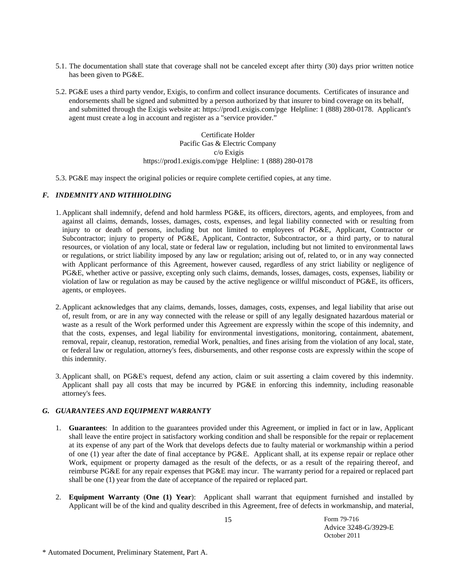- 5.1. The documentation shall state that coverage shall not be canceled except after thirty (30) days prior written notice has been given to PG&E.
- 5.2. PG&E uses a third party vendor, Exigis, to confirm and collect insurance documents. Certificates of insurance and endorsements shall be signed and submitted by a person authorized by that insurer to bind coverage on its behalf, and submitted through the Exigis website at: https://prod1.exigis.com/pge Helpline: 1 (888) 280-0178. Applicant's agent must create a log in account and register as a "service provider."

Certificate Holder Pacific Gas & Electric Company c/o Exigis https://prod1.exigis.com/pge Helpline: 1 (888) 280-0178

5.3. PG&E may inspect the original policies or require complete certified copies, at any time.

#### *F. INDEMNITY AND WITHHOLDING*

- 1. Applicant shall indemnify, defend and hold harmless PG&E, its officers, directors, agents, and employees, from and against all claims, demands, losses, damages, costs, expenses, and legal liability connected with or resulting from injury to or death of persons, including but not limited to employees of PG&E, Applicant, Contractor or Subcontractor; injury to property of PG&E, Applicant, Contractor, Subcontractor, or a third party, or to natural resources, or violation of any local, state or federal law or regulation, including but not limited to environmental laws or regulations, or strict liability imposed by any law or regulation; arising out of, related to, or in any way connected with Applicant performance of this Agreement, however caused, regardless of any strict liability or negligence of PG&E, whether active or passive, excepting only such claims, demands, losses, damages, costs, expenses, liability or violation of law or regulation as may be caused by the active negligence or willful misconduct of PG&E, its officers, agents, or employees.
- 2. Applicant acknowledges that any claims, demands, losses, damages, costs, expenses, and legal liability that arise out of, result from, or are in any way connected with the release or spill of any legally designated hazardous material or waste as a result of the Work performed under this Agreement are expressly within the scope of this indemnity, and that the costs, expenses, and legal liability for environmental investigations, monitoring, containment, abatement, removal, repair, cleanup, restoration, remedial Work, penalties, and fines arising from the violation of any local, state, or federal law or regulation, attorney's fees, disbursements, and other response costs are expressly within the scope of this indemnity.
- 3. Applicant shall, on PG&E's request, defend any action, claim or suit asserting a claim covered by this indemnity. Applicant shall pay all costs that may be incurred by PG&E in enforcing this indemnity, including reasonable attorney's fees.

#### *G. GUARANTEES AND EQUIPMENT WARRANTY*

- 1. **Guarantees**: In addition to the guarantees provided under this Agreement, or implied in fact or in law, Applicant shall leave the entire project in satisfactory working condition and shall be responsible for the repair or replacement at its expense of any part of the Work that develops defects due to faulty material or workmanship within a period of one (1) year after the date of final acceptance by PG&E. Applicant shall, at its expense repair or replace other Work, equipment or property damaged as the result of the defects, or as a result of the repairing thereof, and reimburse PG&E for any repair expenses that PG&E may incur. The warranty period for a repaired or replaced part shall be one (1) year from the date of acceptance of the repaired or replaced part.
- 2. **Equipment Warranty** (**One (1) Year**): Applicant shall warrant that equipment furnished and installed by Applicant will be of the kind and quality described in this Agreement, free of defects in workmanship, and material,

<sup>\*</sup> Automated Document, Preliminary Statement, Part A.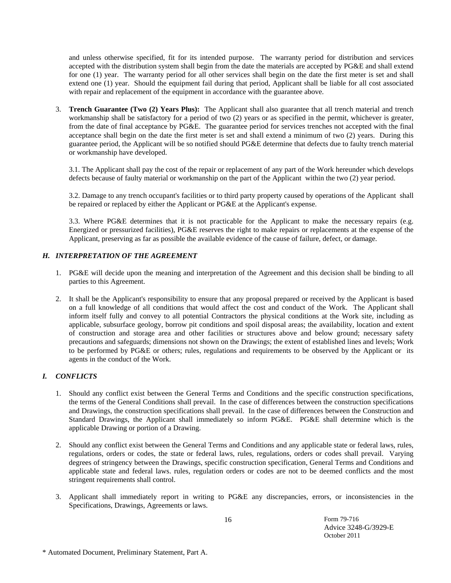and unless otherwise specified, fit for its intended purpose. The warranty period for distribution and services accepted with the distribution system shall begin from the date the materials are accepted by PG&E and shall extend for one (1) year. The warranty period for all other services shall begin on the date the first meter is set and shall extend one (1) year. Should the equipment fail during that period, Applicant shall be liable for all cost associated with repair and replacement of the equipment in accordance with the guarantee above.

3. **Trench Guarantee (Two (2) Years Plus):** The Applicant shall also guarantee that all trench material and trench workmanship shall be satisfactory for a period of two (2) years or as specified in the permit, whichever is greater, from the date of final acceptance by PG&E. The guarantee period for services trenches not accepted with the final acceptance shall begin on the date the first meter is set and shall extend a minimum of two (2) years. During this guarantee period, the Applicant will be so notified should PG&E determine that defects due to faulty trench material or workmanship have developed.

3.1. The Applicant shall pay the cost of the repair or replacement of any part of the Work hereunder which develops defects because of faulty material or workmanship on the part of the Applicant within the two (2) year period.

3.2. Damage to any trench occupant's facilities or to third party property caused by operations of the Applicant shall be repaired or replaced by either the Applicant or PG&E at the Applicant's expense.

3.3. Where PG&E determines that it is not practicable for the Applicant to make the necessary repairs (e.g. Energized or pressurized facilities), PG&E reserves the right to make repairs or replacements at the expense of the Applicant, preserving as far as possible the available evidence of the cause of failure, defect, or damage.

## *H. INTERPRETATION OF THE AGREEMENT*

- 1. PG&E will decide upon the meaning and interpretation of the Agreement and this decision shall be binding to all parties to this Agreement.
- 2. It shall be the Applicant's responsibility to ensure that any proposal prepared or received by the Applicant is based on a full knowledge of all conditions that would affect the cost and conduct of the Work. The Applicant shall inform itself fully and convey to all potential Contractors the physical conditions at the Work site, including as applicable, subsurface geology, borrow pit conditions and spoil disposal areas; the availability, location and extent of construction and storage area and other facilities or structures above and below ground; necessary safety precautions and safeguards; dimensions not shown on the Drawings; the extent of established lines and levels; Work to be performed by PG&E or others; rules, regulations and requirements to be observed by the Applicant or its agents in the conduct of the Work.

# *I. CONFLICTS*

- 1. Should any conflict exist between the General Terms and Conditions and the specific construction specifications, the terms of the General Conditions shall prevail. In the case of differences between the construction specifications and Drawings, the construction specifications shall prevail. In the case of differences between the Construction and Standard Drawings, the Applicant shall immediately so inform PG&E. PG&E shall determine which is the applicable Drawing or portion of a Drawing.
- 2. Should any conflict exist between the General Terms and Conditions and any applicable state or federal laws, rules, regulations, orders or codes, the state or federal laws, rules, regulations, orders or codes shall prevail. Varying degrees of stringency between the Drawings, specific construction specification, General Terms and Conditions and applicable state and federal laws. rules, regulation orders or codes are not to be deemed conflicts and the most stringent requirements shall control.
- 3. Applicant shall immediately report in writing to PG&E any discrepancies, errors, or inconsistencies in the Specifications, Drawings, Agreements or laws.

<sup>\*</sup> Automated Document, Preliminary Statement, Part A.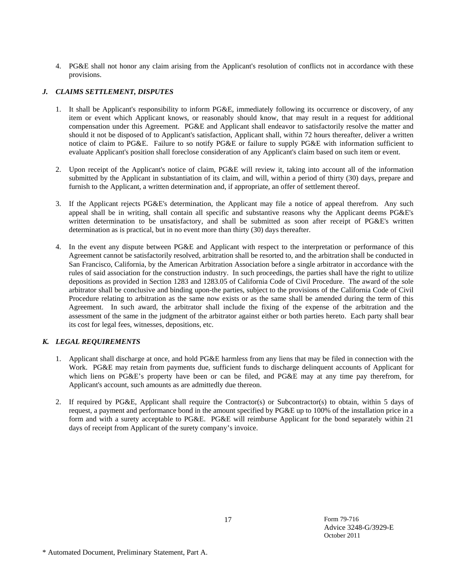4. PG&E shall not honor any claim arising from the Applicant's resolution of conflicts not in accordance with these provisions.

# *J. CLAIMS SETTLEMENT, DISPUTES*

- 1. It shall be Applicant's responsibility to inform PG&E, immediately following its occurrence or discovery, of any item or event which Applicant knows, or reasonably should know, that may result in a request for additional compensation under this Agreement. PG&E and Applicant shall endeavor to satisfactorily resolve the matter and should it not be disposed of to Applicant's satisfaction, Applicant shall, within 72 hours thereafter, deliver a written notice of claim to PG&E. Failure to so notify PG&E or failure to supply PG&E with information sufficient to evaluate Applicant's position shall foreclose consideration of any Applicant's claim based on such item or event.
- 2. Upon receipt of the Applicant's notice of claim, PG&E will review it, taking into account all of the information submitted by the Applicant in substantiation of its claim, and will, within a period of thirty (30) days, prepare and furnish to the Applicant, a written determination and, if appropriate, an offer of settlement thereof.
- 3. If the Applicant rejects PG&E's determination, the Applicant may file a notice of appeal therefrom. Any such appeal shall be in writing, shall contain all specific and substantive reasons why the Applicant deems PG&E's written determination to be unsatisfactory, and shall be submitted as soon after receipt of PG&E's written determination as is practical, but in no event more than thirty (30) days thereafter.
- 4. In the event any dispute between PG&E and Applicant with respect to the interpretation or performance of this Agreement cannot be satisfactorily resolved, arbitration shall be resorted to, and the arbitration shall be conducted in San Francisco, California, by the American Arbitration Association before a single arbitrator in accordance with the rules of said association for the construction industry. In such proceedings, the parties shall have the right to utilize depositions as provided in Section 1283 and 1283.05 of California Code of Civil Procedure. The award of the sole arbitrator shall be conclusive and binding upon-the parties, subject to the provisions of the California Code of Civil Procedure relating to arbitration as the same now exists or as the same shall be amended during the term of this Agreement. In such award, the arbitrator shall include the fixing of the expense of the arbitration and the assessment of the same in the judgment of the arbitrator against either or both parties hereto. Each party shall bear its cost for legal fees, witnesses, depositions, etc.

#### *K. LEGAL REQUIREMENTS*

- 1. Applicant shall discharge at once, and hold PG&E harmless from any liens that may be filed in connection with the Work. PG&E may retain from payments due, sufficient funds to discharge delinquent accounts of Applicant for which liens on PG&E's property have been or can be filed, and PG&E may at any time pay therefrom, for Applicant's account, such amounts as are admittedly due thereon.
- 2. If required by PG&E, Applicant shall require the Contractor(s) or Subcontractor(s) to obtain, within 5 days of request, a payment and performance bond in the amount specified by PG&E up to 100% of the installation price in a form and with a surety acceptable to PG&E. PG&E will reimburse Applicant for the bond separately within 21 days of receipt from Applicant of the surety company's invoice.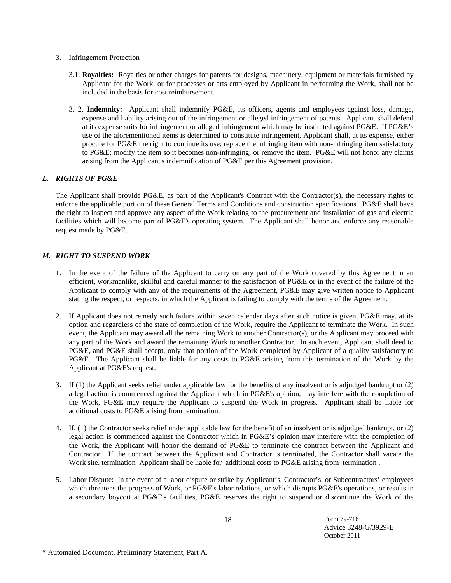#### 3. Infringement Protection

- 3.1. **Royalties:** Royalties or other charges for patents for designs, machinery, equipment or materials furnished by Applicant for the Work, or for processes or arts employed by Applicant in performing the Work, shall not be included in the basis for cost reimbursement.
- 3. 2. **Indemnity:** Applicant shall indemnify PG&E, its officers, agents and employees against loss, damage, expense and liability arising out of the infringement or alleged infringement of patents. Applicant shall defend at its expense suits for infringement or alleged infringement which may be instituted against PG&E. If PG&E's use of the aforementioned items is determined to constitute infringement, Applicant shall, at its expense, either procure for PG&E the right to continue its use; replace the infringing item with non-infringing item satisfactory to PG&E; modify the item so it becomes non-infringing; or remove the item. PG&E will not honor any claims arising from the Applicant's indemnification of PG&E per this Agreement provision.

# *L. RIGHTS OF PG&E*

The Applicant shall provide PG&E, as part of the Applicant's Contract with the Contractor(s), the necessary rights to enforce the applicable portion of these General Terms and Conditions and construction specifications. PG&E shall have the right to inspect and approve any aspect of the Work relating to the procurement and installation of gas and electric facilities which will become part of PG&E's operating system. The Applicant shall honor and enforce any reasonable request made by PG&E.

# *M. RIGHT TO SUSPEND WORK*

- 1. In the event of the failure of the Applicant to carry on any part of the Work covered by this Agreement in an efficient, workmanlike, skillful and careful manner to the satisfaction of PG&E or in the event of the failure of the Applicant to comply with any of the requirements of the Agreement, PG&E may give written notice to Applicant stating the respect, or respects, in which the Applicant is failing to comply with the terms of the Agreement.
- 2. If Applicant does not remedy such failure within seven calendar days after such notice is given, PG&E may, at its option and regardless of the state of completion of the Work, require the Applicant to terminate the Work. In such event, the Applicant may award all the remaining Work to another Contractor(s), or the Applicant may proceed with any part of the Work and award the remaining Work to another Contractor. In such event, Applicant shall deed to PG&E, and PG&E shall accept, only that portion of the Work completed by Applicant of a quality satisfactory to PG&E. The Applicant shall be liable for any costs to PG&E arising from this termination of the Work by the Applicant at PG&E's request.
- 3. If (1) the Applicant seeks relief under applicable law for the benefits of any insolvent or is adjudged bankrupt or (2) a legal action is commenced against the Applicant which in PG&E's opinion, may interfere with the completion of the Work, PG&E may require the Applicant to suspend the Work in progress. Applicant shall be liable for additional costs to PG&E arising from termination.
- 4. If, (1) the Contractor seeks relief under applicable law for the benefit of an insolvent or is adjudged bankrupt, or (2) legal action is commenced against the Contractor which in PG&E's opinion may interfere with the completion of the Work, the Applicant will honor the demand of PG&E to terminate the contract between the Applicant and Contractor. If the contract between the Applicant and Contractor is terminated, the Contractor shall vacate the Work site. termination Applicant shall be liable for additional costs to PG&E arising from termination.
- 5. Labor Dispute:In the event of a labor dispute or strike by Applicant's, Contractor's, or Subcontractors' employees which threatens the progress of Work, or PG&E's labor relations, or which disrupts PG&E's operations, or results in a secondary boycott at PG&E's facilities, PG&E reserves the right to suspend or discontinue the Work of the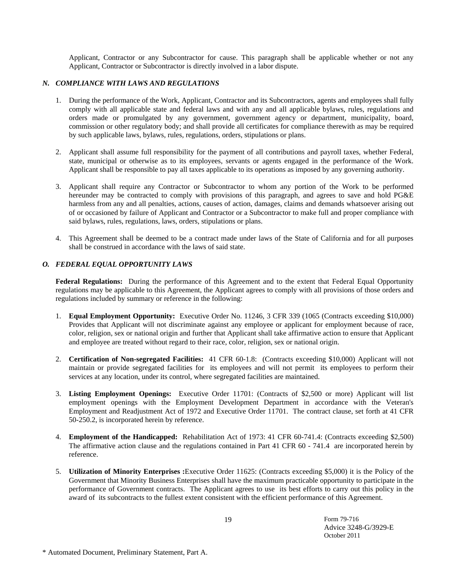Applicant, Contractor or any Subcontractor for cause. This paragraph shall be applicable whether or not any Applicant, Contractor or Subcontractor is directly involved in a labor dispute.

## *N. COMPLIANCE WITH LAWS AND REGULATIONS*

- 1. During the performance of the Work, Applicant, Contractor and its Subcontractors, agents and employees shall fully comply with all applicable state and federal laws and with any and all applicable bylaws, rules, regulations and orders made or promulgated by any government, government agency or department, municipality, board, commission or other regulatory body; and shall provide all certificates for compliance therewith as may be required by such applicable laws, bylaws, rules, regulations, orders, stipulations or plans.
- 2. Applicant shall assume full responsibility for the payment of all contributions and payroll taxes, whether Federal, state, municipal or otherwise as to its employees, servants or agents engaged in the performance of the Work. Applicant shall be responsible to pay all taxes applicable to its operations as imposed by any governing authority.
- 3. Applicant shall require any Contractor or Subcontractor to whom any portion of the Work to be performed hereunder may be contracted to comply with provisions of this paragraph, and agrees to save and hold PG&E harmless from any and all penalties, actions, causes of action, damages, claims and demands whatsoever arising out of or occasioned by failure of Applicant and Contractor or a Subcontractor to make full and proper compliance with said bylaws, rules, regulations, laws, orders, stipulations or plans.
- 4. This Agreement shall be deemed to be a contract made under laws of the State of California and for all purposes shall be construed in accordance with the laws of said state.

# *O. FEDERAL EQUAL OPPORTUNITY LAWS*

**Federal Regulations:** During the performance of this Agreement and to the extent that Federal Equal Opportunity regulations may be applicable to this Agreement, the Applicant agrees to comply with all provisions of those orders and regulations included by summary or reference in the following:

- 1. **Equal Employment Opportunity:** Executive Order No. 11246, 3 CFR 339 (1065 (Contracts exceeding \$10,000) Provides that Applicant will not discriminate against any employee or applicant for employment because of race, color, religion, sex or national origin and further that Applicant shall take affirmative action to ensure that Applicant and employee are treated without regard to their race, color, religion, sex or national origin.
- 2. **Certification of Non-segregated Facilities:** 41 CFR 60-1.8: (Contracts exceeding \$10,000) Applicant will not maintain or provide segregated facilities for its employees and will not permit its employees to perform their services at any location, under its control, where segregated facilities are maintained.
- 3. **Listing Employment Openings:** Executive Order 11701: (Contracts of \$2,500 or more) Applicant will list employment openings with the Employment Development Department in accordance with the Veteran's Employment and Readjustment Act of 1972 and Executive Order 11701. The contract clause, set forth at 41 CFR 50-250.2, is incorporated herein by reference.
- 4. **Employment of the Handicapped:** Rehabilitation Act of 1973: 41 CFR 60-741.4: (Contracts exceeding \$2,500) The affirmative action clause and the regulations contained in Part 41 CFR 60 - 741.4 are incorporated herein by reference.
- 5. **Utilization of Minority Enterprises :**Executive Order 11625: (Contracts exceeding \$5,000) it is the Policy of the Government that Minority Business Enterprises shall have the maximum practicable opportunity to participate in the performance of Government contracts. The Applicant agrees to use its best efforts to carry out this policy in the award of its subcontracts to the fullest extent consistent with the efficient performance of this Agreement.